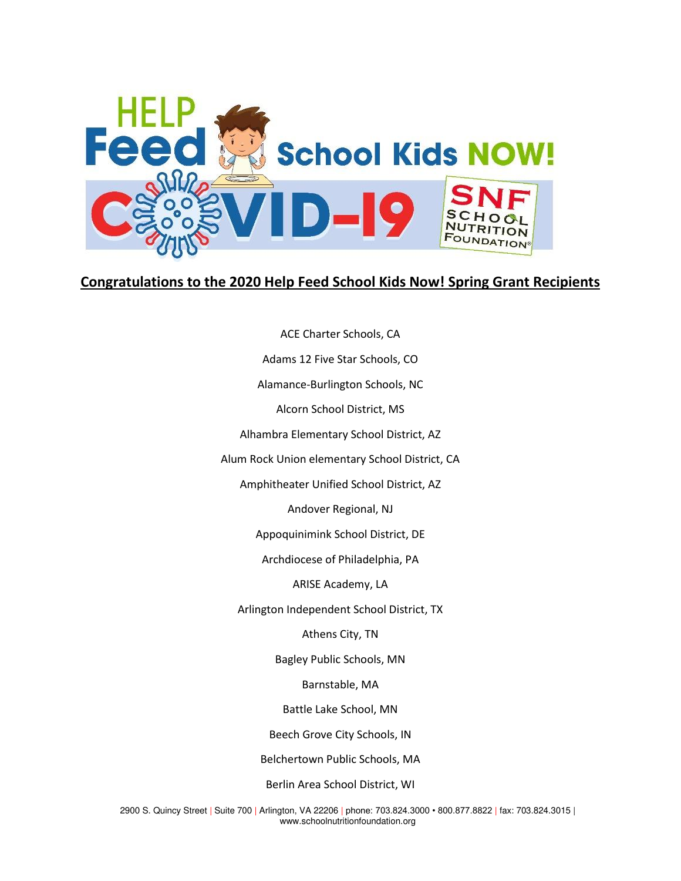

## **Congratulations to the 2020 Help Feed School Kids Now! Spring Grant Recipients**

ACE Charter Schools, CA Adams 12 Five Star Schools, CO Alamance-Burlington Schools, NC Alcorn School District, MS Alhambra Elementary School District, AZ Alum Rock Union elementary School District, CA Amphitheater Unified School District, AZ Andover Regional, NJ Appoquinimink School District, DE Archdiocese of Philadelphia, PA ARISE Academy, LA Arlington Independent School District, TX Athens City, TN Bagley Public Schools, MN Barnstable, MA Battle Lake School, MN Beech Grove City Schools, IN Belchertown Public Schools, MA Berlin Area School District, WI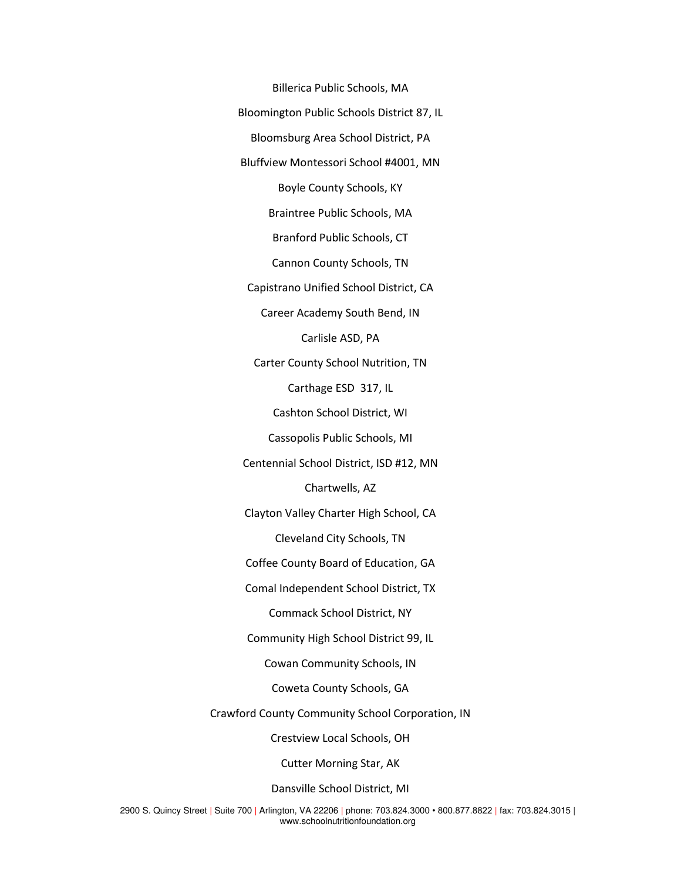Billerica Public Schools, MA Bloomington Public Schools District 87, IL Bloomsburg Area School District, PA Bluffview Montessori School #4001, MN Boyle County Schools, KY Braintree Public Schools, MA Branford Public Schools, CT Cannon County Schools, TN Capistrano Unified School District, CA Career Academy South Bend, IN Carlisle ASD, PA Carter County School Nutrition, TN Carthage ESD 317, IL Cashton School District, WI Cassopolis Public Schools, MI Centennial School District, ISD #12, MN Chartwells, AZ Clayton Valley Charter High School, CA Cleveland City Schools, TN Coffee County Board of Education, GA Comal Independent School District, TX Commack School District, NY Community High School District 99, IL Cowan Community Schools, IN Coweta County Schools, GA Crawford County Community School Corporation, IN Crestview Local Schools, OH Cutter Morning Star, AK Dansville School District, MI

2900 S. Quincy Street | Suite 700 | Arlington, VA 22206 | phone: 703.824.3000 • 800.877.8822 | fax: 703.824.3015 | www.schoolnutritionfoundation.org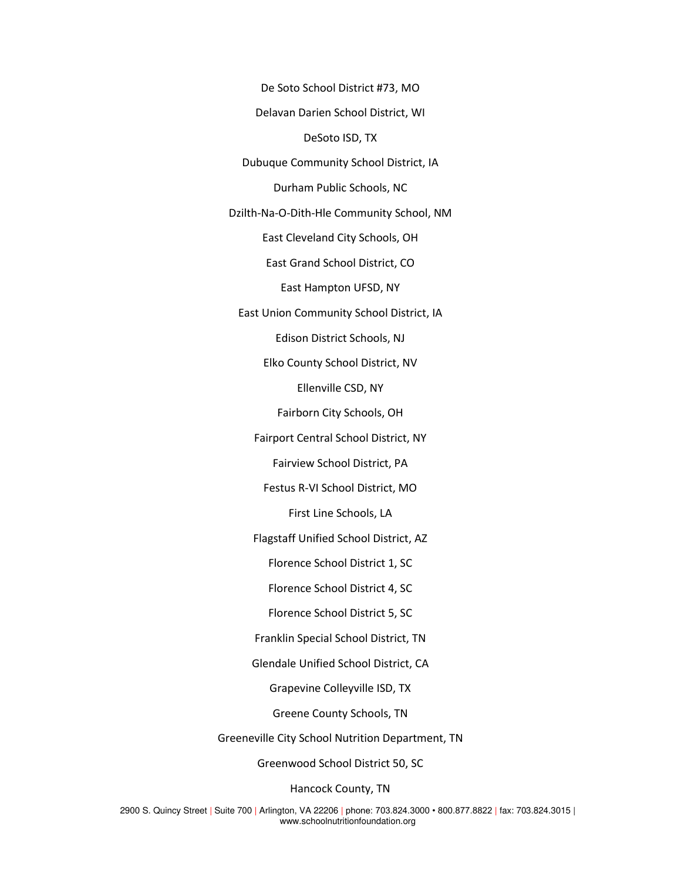De Soto School District #73, MO Delavan Darien School District, WI DeSoto ISD, TX Dubuque Community School District, IA Durham Public Schools, NC Dzilth-Na-O-Dith-Hle Community School, NM East Cleveland City Schools, OH East Grand School District, CO East Hampton UFSD, NY East Union Community School District, IA Edison District Schools, NJ Elko County School District, NV Ellenville CSD, NY Fairborn City Schools, OH Fairport Central School District, NY Fairview School District, PA Festus R-VI School District, MO First Line Schools, LA Flagstaff Unified School District, AZ Florence School District 1, SC Florence School District 4, SC Florence School District 5, SC Franklin Special School District, TN Glendale Unified School District, CA Grapevine Colleyville ISD, TX Greene County Schools, TN Greeneville City School Nutrition Department, TN

Greenwood School District 50, SC

Hancock County, TN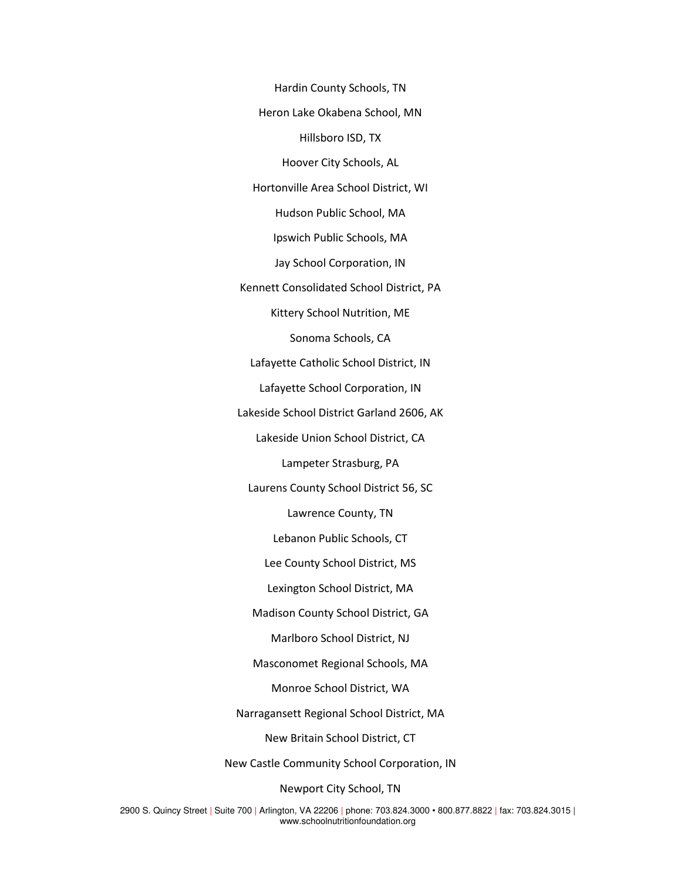Hardin County Schools, TN Heron Lake Okabena School, MN Hillsboro ISD, TX Hoover City Schools, AL Hortonville Area School District, WI Hudson Public School, MA Ipswich Public Schools, MA Jay School Corporation, IN Kennett Consolidated School District, PA Kittery School Nutrition, ME Sonoma Schools, CA Lafayette Catholic School District, IN Lafayette School Corporation, IN Lakeside School District Garland 2606, AK Lakeside Union School District, CA Lampeter Strasburg, PA Laurens County School District 56, SC Lawrence County, TN Lebanon Public Schools, CT Lee County School District, MS Lexington School District, MA Madison County School District, GA Marlboro School District, NJ Masconomet Regional Schools, MA Monroe School District, WA Narragansett Regional School District, MA New Britain School District, CT New Castle Community School Corporation, IN

Newport City School, TN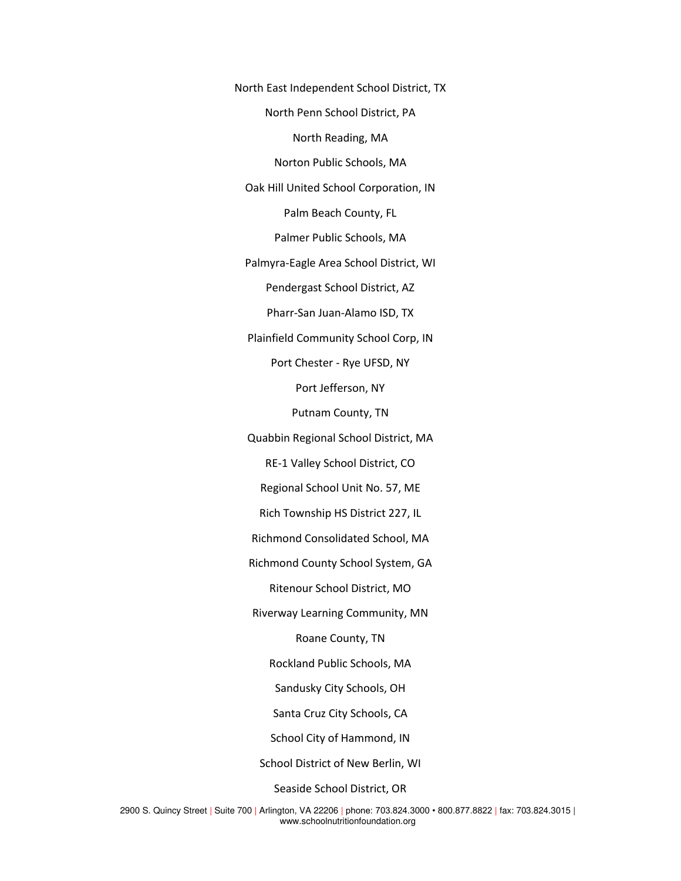North East Independent School District, TX North Penn School District, PA North Reading, MA Norton Public Schools, MA Oak Hill United School Corporation, IN Palm Beach County, FL Palmer Public Schools, MA Palmyra-Eagle Area School District, WI Pendergast School District, AZ Pharr-San Juan-Alamo ISD, TX Plainfield Community School Corp, IN Port Chester - Rye UFSD, NY Port Jefferson, NY Putnam County, TN Quabbin Regional School District, MA RE-1 Valley School District, CO Regional School Unit No. 57, ME Rich Township HS District 227, IL Richmond Consolidated School, MA Richmond County School System, GA Ritenour School District, MO Riverway Learning Community, MN Roane County, TN Rockland Public Schools, MA Sandusky City Schools, OH Santa Cruz City Schools, CA School City of Hammond, IN School District of New Berlin, WI

Seaside School District, OR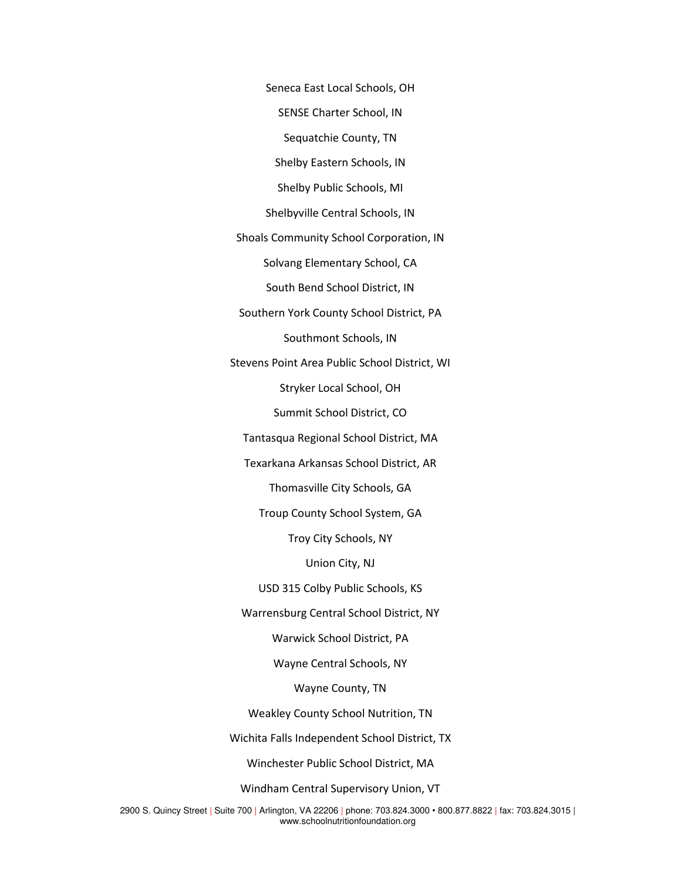Seneca East Local Schools, OH

SENSE Charter School, IN

Sequatchie County, TN

Shelby Eastern Schools, IN

Shelby Public Schools, MI

Shelbyville Central Schools, IN

Shoals Community School Corporation, IN

Solvang Elementary School, CA

South Bend School District, IN

Southern York County School District, PA Southmont Schools, IN

Stevens Point Area Public School District, WI

Stryker Local School, OH

Summit School District, CO

Tantasqua Regional School District, MA

Texarkana Arkansas School District, AR

Thomasville City Schools, GA

Troup County School System, GA

Troy City Schools, NY

Union City, NJ

USD 315 Colby Public Schools, KS

Warrensburg Central School District, NY

Warwick School District, PA

Wayne Central Schools, NY

Wayne County, TN

Weakley County School Nutrition, TN

Wichita Falls Independent School District, TX

Winchester Public School District, MA

Windham Central Supervisory Union, VT

2900 S. Quincy Street | Suite 700 | Arlington, VA 22206 | phone: 703.824.3000 • 800.877.8822 | fax: 703.824.3015 | www.schoolnutritionfoundation.org